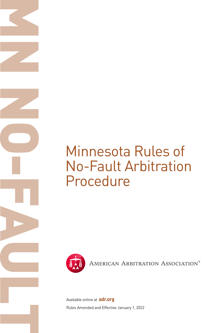# Minnesota Rules of No-Fault Arbitration Procedure



AMERICAN ARBITRATION ASSOCIATION®

Rules Amended and Effective January 1, 2022 Available online at **adr.org**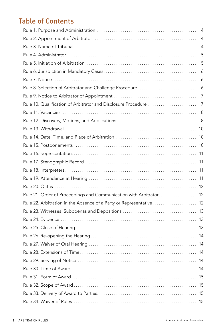# Table of Contents

|                                                                     | 4   |
|---------------------------------------------------------------------|-----|
|                                                                     | 4   |
|                                                                     | 4   |
|                                                                     | 5   |
|                                                                     | 5   |
|                                                                     | 6   |
|                                                                     | 6   |
| Rule 8. Selection of Arbitrator and Challenge Procedure             | 6   |
|                                                                     | 7   |
| Rule 10. Qualification of Arbitrator and Disclosure Procedure       | 7   |
|                                                                     | 8   |
|                                                                     | 8   |
|                                                                     |     |
|                                                                     |     |
|                                                                     |     |
|                                                                     |     |
|                                                                     |     |
|                                                                     |     |
|                                                                     |     |
|                                                                     |     |
| Rule 21. Order of Proceedings and Communication with Arbitrator 12  |     |
| Rule 22. Arbitration in the Absence of a Party or Representative 12 |     |
|                                                                     |     |
|                                                                     |     |
|                                                                     |     |
|                                                                     |     |
|                                                                     |     |
|                                                                     |     |
|                                                                     | 14  |
|                                                                     | -14 |
|                                                                     | -15 |
|                                                                     |     |
|                                                                     |     |
|                                                                     |     |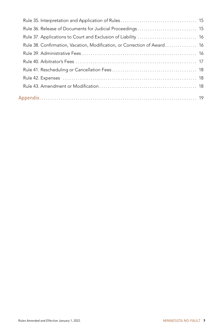| Rule 36. Release of Documents for Judicial Proceedings 15                |  |
|--------------------------------------------------------------------------|--|
| Rule 37. Applications to Court and Exclusion of Liability  16            |  |
| Rule 38. Confirmation, Vacation, Modification, or Correction of Award 16 |  |
|                                                                          |  |
|                                                                          |  |
|                                                                          |  |
|                                                                          |  |
|                                                                          |  |
|                                                                          |  |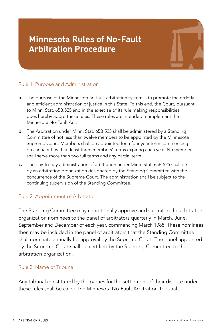# <span id="page-3-0"></span>**Minnesota Rules of No-Fault Arbitration Procedure**



# Rule 1. Purpose and Administration

- a. The purpose of the Minnesota no-fault arbitration system is to promote the orderly and efficient administration of justice in this State. To this end, the Court, pursuant to Minn. Stat. 65B.525 and in the exercise of its rule making responsibilities, does hereby adopt these rules. These rules are intended to implement the Minnesota No-Fault Act.
- **b.** The Arbitration under Minn. Stat. 65B.525 shall be administered by a Standing Committee of not less than twelve members to be appointed by the Minnesota Supreme Court. Members shall be appointed for a four-year term commencing on January 1, with at least three members' terms expiring each year. No member shall serve more than two full terms and any partial term.
- c. The day-to-day administration of arbitration under Minn. Stat. 65B.525 shall be by an arbitration organization designated by the Standing Committee with the concurrence of the Supreme Court. The administration shall be subject to the continuing supervision of the Standing Committee.

# Rule 2. Appointment of Arbitrator

The Standing Committee may conditionally approve and submit to the arbitration organization nominees to the panel of arbitrators quarterly in March, June, September and December of each year, commencing March 1988. These nominees then may be included in the panel of arbitrators that the Standing Committee shall nominate annually for approval by the Supreme Court. The panel appointed by the Supreme Court shall be certified by the Standing Committee to the arbitration organization.

#### Rule 3. Name of Tribunal

Any tribunal constituted by the parties for the settlement of their dispute under these rules shall be called the Minnesota No-Fault Arbitration Tribunal.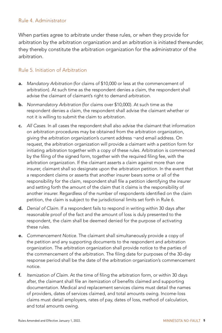## <span id="page-4-0"></span>Rule 4. Administrator

When parties agree to arbitrate under these rules, or when they provide for arbitration by the arbitration organization and an arbitration is initiated thereunder, they thereby constitute the arbitration organization for the administrator of the arbitration.

## Rule 5. Initiation of Arbitration

- a. *Mandatory Arbitration* (for claims of \$10,000 or less at the commencement of arbitration). At such time as the respondent denies a claim, the respondent shall advise the claimant of claimant's right to demand arbitration.
- b. *Nonmandatory Arbitration* (for claims over \$10,000). At such time as the respondent denies a claim, the respondent shall advise the claimant whether or not it is willing to submit the claim to arbitration.
- c. *All Cases.* In all cases the respondent shall also advise the claimant that information on arbitration procedures may be obtained from the arbitration organization, giving the arbitration organization's current address ¬and email address. On request, the arbitration organization will provide a claimant with a petition form for initiating arbitration together with a copy of these rules. Arbitration is commenced by the filing of the signed form, together with the required filing fee, with the arbitration organization. If the claimant asserts a claim against more than one insurer, claimant shall so designate upon the arbitration petition. In the event that a respondent claims or asserts that another insurer bears some or all of the responsibility for the claim, respondent shall file a petition identifying the insurer and setting forth the amount of the claim that it claims is the responsibility of another insurer. Regardless of the number of respondents identified on the claim petition, the claim is subject to the jurisdictional limits set forth in Rule 6.
- d. *Denial of Claim.* If a respondent fails to respond in writing within 30 days after reasonable proof of the fact and the amount of loss is duly presented to the respondent, the claim shall be deemed denied for the purpose of activating these rules.
- e. *Commencement Notice.* The claimant shall simultaneously provide a copy of the petition and any supporting documents to the respondent and arbitration organization. The arbitration organization shall provide notice to the parties of the commencement of the arbitration. The filing date for purposes of the 30-day response period shall be the date of the arbitration organization's commencement notice.
- f. *Itemization of Claim.* At the time of filing the arbitration form, or within 30 days after, the claimant shall file an itemization of benefits claimed and supporting documentation. Medical and replacement services claims must detail the names of providers, dates of services claimed, and total amounts owing. Income-loss claims must detail employers, rates of pay, dates of loss, method of calculation, and total amounts owing.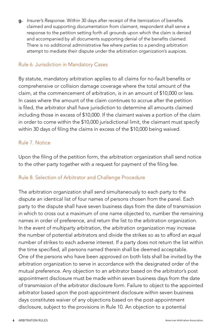<span id="page-5-0"></span>g. *Insurer's Response.* Within 30 days after receipt of the itemization of benefits claimed and supporting documentation from claimant, respondent shall serve a response to the petition setting forth all grounds upon which the claim is denied and accompanied by all documents supporting denial of the benefits claimed. There is no additional administrative fee where parties to a pending arbitration attempt to mediate their dispute under the arbitration organization's auspices.

#### Rule 6. Jurisdiction in Mandatory Cases

By statute, mandatory arbitration applies to all claims for no-fault benefits or comprehensive or collision damage coverage where the total amount of the claim, at the commencement of arbitration, is in an amount of \$10,000 or less. In cases where the amount of the claim continues to accrue after the petition is filed, the arbitrator shall have jurisdiction to determine all amounts claimed including those in excess of \$10,000. If the claimant waives a portion of the claim in order to come within the \$10,000 jurisdictional limit, the claimant must specify within 30 days of filing the claims in excess of the \$10,000 being waived.

# Rule 7. Notice

Upon the filing of the petition form, the arbitration organization shall send notice to the other party together with a request for payment of the filing fee.

# Rule 8. Selection of Arbitrator and Challenge Procedure

The arbitration organization shall send simultaneously to each party to the dispute an identical list of four names of persons chosen from the panel. Each party to the dispute shall have seven business days from the date of transmission in which to cross out a maximum of one name objected to, number the remaining names in order of preference, and return the list to the arbitration organization. In the event of multiparty arbitration, the arbitration organization may increase the number of potential arbitrators and divide the strikes so as to afford an equal number of strikes to each adverse interest. If a party does not return the list within the time specified, all persons named therein shall be deemed acceptable. One of the persons who have been approved on both lists shall be invited by the arbitration organization to serve in accordance with the designated order of the mutual preference. Any objection to an arbitrator based on the arbitrator's post appointment disclosure must be made within seven business days from the date of transmission of the arbitrator disclosure form. Failure to object to the appointed arbitrator based upon the post-appointment disclosure within seven business days constitutes waiver of any objections based on the post-appointment disclosure, subject to the provisions in Rule 10. An objection to a potential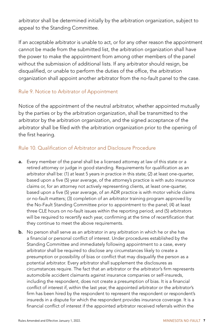<span id="page-6-0"></span>arbitrator shall be determined initially by the arbitration organization, subject to appeal to the Standing Committee.

If an acceptable arbitrator is unable to act, or for any other reason the appointment cannot be made from the submitted list, the arbitration organization shall have the power to make the appointment from among other members of the panel without the submission of additional lists. If any arbitrator should resign, be disqualified, or unable to perform the duties of the office, the arbitration organization shall appoint another arbitrator from the no-fault panel to the case.

## Rule 9. Notice to Arbitrator of Appointment

Notice of the appointment of the neutral arbitrator, whether appointed mutually by the parties or by the arbitration organization, shall be transmitted to the arbitrator by the arbitration organization, and the signed acceptance of the arbitrator shall be filed with the arbitration organization prior to the opening of the first hearing.

# Rule 10. Qualification of Arbitrator and Disclosure Procedure

- a. Every member of the panel shall be a licensed attorney at law of this state or a retired attorney or judge in good standing. Requirements for qualification as an arbitrator shall be: (1) at least 5 years in practice in this state; (2) at least one-quarter, based upon a five (5) year average, of the attorney's practice is with auto insurance claims or, for an attorney not actively representing clients, at least one-quarter, based upon a five (5) year average, of an ADR practice is with motor vehicle claims or no-fault matters; (3) completion of an arbitrator training program approved by the No-Fault Standing Committee prior to appointment to the panel; (4) at least three CLE hours on no-fault issues within the reporting period; and (5) arbitrators will be required to recertify each year, confirming at the time of recertification that they continue to meet the above requirements.
- **b.** No person shall serve as an arbitrator in any arbitration in which he or she has a financial or personal conflict of interest. Under procedures established by the Standing Committee and immediately following appointment to a case, every arbitrator shall be required to disclose any circumstances likely to create a presumption or possibility of bias or conflict that may disqualify the person as a potential arbitrator. Every arbitrator shall supplement the disclosures as circumstances require. The fact that an arbitrator or the arbitrator's firm represents automobile accident claimants against insurance companies or self-insureds, including the respondent, does not create a presumption of bias. It is a financial conflict of interest if, within the last year, the appointed arbitrator or the arbitrator's firm has been hired by the respondent to represent the respondent or respondent's insureds in a dispute for which the respondent provides insurance coverage. It is a financial conflict of interest if the appointed arbitrator received referrals within the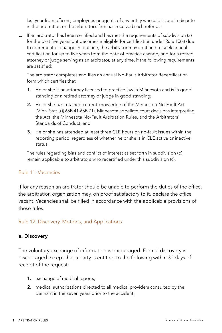<span id="page-7-0"></span>last year from officers, employees or agents of any entity whose bills are in dispute in the arbitration or the arbitrator's firm has received such referrals.

c. If an arbitrator has been certified and has met the requirements of subdivision (a) for the past five years but becomes ineligible for certification under Rule 10(a) due to retirement or change in practice, the arbitrator may continue to seek annual certification for up to five years from the date of practice change, and for a retired attorney or judge serving as an arbitrator, at any time, if the following requirements are satisfied:

The arbitrator completes and files an annual No-Fault Arbitrator Recertification form which certifies that:

- 1. He or she is an attorney licensed to practice law in Minnesota and is in good standing or a retired attorney or judge in good standing;
- 2. He or she has retained current knowledge of the Minnesota No-Fault Act (Minn. Stat. §§ 65B.41-65B.71), Minnesota appellate court decisions interpreting the Act, the Minnesota No-Fault Arbitration Rules, and the Arbitrators' Standards of Conduct; and
- 3. He or she has attended at least three CLE hours on no-fault issues within the reporting period, regardless of whether he or she is in CLE active or inactive status.

The rules regarding bias and conflict of interest as set forth in subdivision (b) remain applicable to arbitrators who recertified under this subdivision (c).

#### Rule 11. Vacancies

If for any reason an arbitrator should be unable to perform the duties of the office, the arbitration organization may, on proof satisfactory to it, declare the office vacant. Vacancies shall be filled in accordance with the applicable provisions of these rules.

# Rule 12. Discovery, Motions, and Applications

#### a. Discovery

The voluntary exchange of information is encouraged. Formal discovery is discouraged except that a party is entitled to the following within 30 days of receipt of the request:

- 1. exchange of medical reports;
- 2. medical authorizations directed to all medical providers consulted by the claimant in the seven years prior to the accident;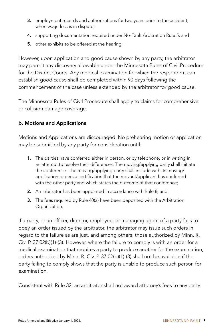- 3. employment records and authorizations for two years prior to the accident, when wage loss is in dispute;
- 4. supporting documentation required under No-Fault Arbitration Rule 5; and
- **5.** other exhibits to be offered at the hearing.

However, upon application and good cause shown by any party, the arbitrator may permit any discovery allowable under the Minnesota Rules of Civil Procedure for the District Courts. Any medical examination for which the respondent can establish good cause shall be completed within 90 days following the commencement of the case unless extended by the arbitrator for good cause.

The Minnesota Rules of Civil Procedure shall apply to claims for comprehensive or collision damage coverage.

# b. Motions and Applications

Motions and Applications are discouraged. No prehearing motion or application may be submitted by any party for consideration until:

- 1. The parties have conferred either in person, or by telephone, or in writing in an attempt to resolve their differences. The moving/applying party shall initiate the conference. The moving/applying party shall include with its moving/ application papers a certification that the movant/applicant has conferred with the other party and which states the outcome of that conference;
- 2. An arbitrator has been appointed in accordance with Rule 8; and
- 3. The fees required by Rule 40(a) have been deposited with the Arbitration Organization.

If a party, or an officer, director, employee, or managing agent of a party fails to obey an order issued by the arbitrator, the arbitrator may issue such orders in regard to the failure as are just, and among others, those authorized by Minn. R. Civ. P. 37.02(b)(1)-(3). However, where the failure to comply is with an order for a medical examination that requires a party to produce another for the examination, orders authorized by Minn. R. Civ. P. 37.02(b)(1)-(3) shall not be available if the party failing to comply shows that the party is unable to produce such person for examination.

Consistent with Rule 32, an arbitrator shall not award attorney's fees to any party.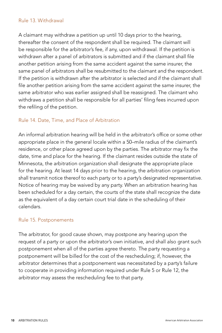#### <span id="page-9-0"></span>Rule 13. Withdrawal

A claimant may withdraw a petition up until 10 days prior to the hearing, thereafter the consent of the respondent shall be required. The claimant will be responsible for the arbitrator's fee, if any, upon withdrawal. If the petition is withdrawn after a panel of arbitrators is submitted and if the claimant shall file another petition arising from the same accident against the same insurer, the same panel of arbitrators shall be resubmitted to the claimant and the respondent. If the petition is withdrawn after the arbitrator is selected and if the claimant shall file another petition arising from the same accident against the same insurer, the same arbitrator who was earlier assigned shall be reassigned. The claimant who withdraws a petition shall be responsible for all parties' filing fees incurred upon the refiling of the petition.

# Rule 14. Date, Time, and Place of Arbitration

An informal arbitration hearing will be held in the arbitrator's office or some other appropriate place in the general locale within a 50–mile radius of the claimant's residence, or other place agreed upon by the parties. The arbitrator may fix the date, time and place for the hearing. If the claimant resides outside the state of Minnesota, the arbitration organization shall designate the appropriate place for the hearing. At least 14 days prior to the hearing, the arbitration organization shall transmit notice thereof to each party or to a party's designated representative. Notice of hearing may be waived by any party. When an arbitration hearing has been scheduled for a day certain, the courts of the state shall recognize the date as the equivalent of a day certain court trial date in the scheduling of their calendars.

#### Rule 15. Postponements

The arbitrator, for good cause shown, may postpone any hearing upon the request of a party or upon the arbitrator's own initiative, and shall also grant such postponement when all of the parties agree thereto. The party requesting a postponement will be billed for the cost of the rescheduling; if, however, the arbitrator determines that a postponement was necessitated by a party's failure to cooperate in providing information required under Rule 5 or Rule 12, the arbitrator may assess the rescheduling fee to that party.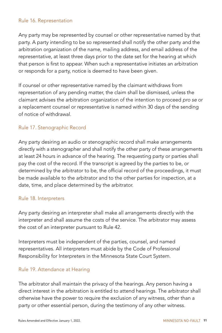#### <span id="page-10-0"></span>Rule 16. Representation

Any party may be represented by counsel or other representative named by that party. A party intending to be so represented shall notify the other party and the arbitration organization of the name, mailing address, and email address of the representative, at least three days prior to the date set for the hearing at which that person is first to appear. When such a representative initiates an arbitration or responds for a party, notice is deemed to have been given.

If counsel or other representative named by the claimant withdraws from representation of any pending matter, the claim shall be dismissed, unless the claimant advises the arbitration organization of the intention to proceed *pro se* or a replacement counsel or representative is named within 30 days of the sending of notice of withdrawal.

## Rule 17. Stenographic Record

Any party desiring an audio or stenographic record shall make arrangements directly with a stenographer and shall notify the other party of these arrangements at least 24 hours in advance of the hearing. The requesting party or parties shall pay the cost of the record. If the transcript is agreed by the parties to be, or determined by the arbitrator to be, the official record of the proceedings, it must be made available to the arbitrator and to the other parties for inspection, at a date, time, and place determined by the arbitrator.

#### Rule 18. Interpreters

Any party desiring an interpreter shall make all arrangements directly with the interpreter and shall assume the costs of the service. The arbitrator may assess the cost of an interpreter pursuant to Rule 42.

Interpreters must be independent of the parties, counsel, and named representatives. All interpreters must abide by the Code of Professional Responsibility for Interpreters in the Minnesota State Court System.

#### Rule 19. Attendance at Hearing

The arbitrator shall maintain the privacy of the hearings. Any person having a direct interest in the arbitration is entitled to attend hearings. The arbitrator shall otherwise have the power to require the exclusion of any witness, other than a party or other essential person, during the testimony of any other witness.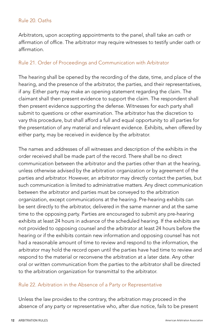# <span id="page-11-0"></span>Rule 20. Oaths

Arbitrators, upon accepting appointments to the panel, shall take an oath or affirmation of office. The arbitrator may require witnesses to testify under oath or affirmation.

# Rule 21. Order of Proceedings and Communication with Arbitrator

The hearing shall be opened by the recording of the date, time, and place of the hearing, and the presence of the arbitrator, the parties, and their representatives, if any. Either party may make an opening statement regarding the claim. The claimant shall then present evidence to support the claim. The respondent shall then present evidence supporting the defense. Witnesses for each party shall submit to questions or other examination. The arbitrator has the discretion to vary this procedure, but shall afford a full and equal opportunity to all parties for the presentation of any material and relevant evidence. Exhibits, when offered by either party, may be received in evidence by the arbitrator.

The names and addresses of all witnesses and description of the exhibits in the order received shall be made part of the record. There shall be no direct communication between the arbitrator and the parties other than at the hearing, unless otherwise advised by the arbitration organization or by agreement of the parties and arbitrator. However, an arbitrator may directly contact the parties, but such communication is limited to administrative matters. Any direct communication between the arbitrator and parties must be conveyed to the arbitration organization, except communications at the hearing. Pre-hearing exhibits can be sent directly to the arbitrator, delivered in the same manner and at the same time to the opposing party. Parties are encouraged to submit any pre-hearing exhibits at least 24 hours in advance of the scheduled hearing. If the exhibits are not provided to opposing counsel and the arbitrator at least 24 hours before the hearing or if the exhibits contain new information and opposing counsel has not had a reasonable amount of time to review and respond to the information, the arbitrator may hold the record open until the parties have had time to review and respond to the material or reconvene the arbitration at a later date. Any other oral or written communication from the parties to the arbitrator shall be directed to the arbitration organization for transmittal to the arbitrator.

#### Rule 22. Arbitration in the Absence of a Party or Representative

Unless the law provides to the contrary, the arbitration may proceed in the absence of any party or representative who, after due notice, fails to be present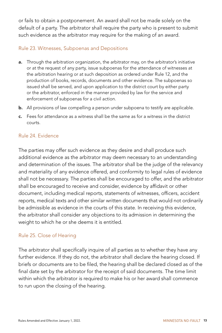<span id="page-12-0"></span>or fails to obtain a postponement. An award shall not be made solely on the default of a party. The arbitrator shall require the party who is present to submit such evidence as the arbitrator may require for the making of an award.

# Rule 23. Witnesses, Subpoenas and Depositions

- a. Through the arbitration organization, the arbitrator may, on the arbitrator's initiative or at the request of any party, issue subpoenas for the attendance of witnesses at the arbitration hearing or at such deposition as ordered under Rule 12, and the production of books, records, documents and other evidence. The subpoenas so issued shall be served, and upon application to the district court by either party or the arbitrator, enforced in the manner provided by law for the service and enforcement of subpoenas for a civil action.
- b. All provisions of law compelling a person under subpoena to testify are applicable.
- c. Fees for attendance as a witness shall be the same as for a witness in the district courts.

#### Rule 24. Evidence

The parties may offer such evidence as they desire and shall produce such additional evidence as the arbitrator may deem necessary to an understanding and determination of the issues. The arbitrator shall be the judge of the relevancy and materiality of any evidence offered, and conformity to legal rules of evidence shall not be necessary. The parties shall be encouraged to offer, and the arbitrator shall be encouraged to receive and consider, evidence by affidavit or other document, including medical reports, statements of witnesses, officers, accident reports, medical texts and other similar written documents that would not ordinarily be admissible as evidence in the courts of this state. In receiving this evidence, the arbitrator shall consider any objections to its admission in determining the weight to which he or she deems it is entitled.

#### Rule 25. Close of Hearing

The arbitrator shall specifically inquire of all parties as to whether they have any further evidence. If they do not, the arbitrator shall declare the hearing closed. If briefs or documents are to be filed, the hearing shall be declared closed as of the final date set by the arbitrator for the receipt of said documents. The time limit within which the arbitrator is required to make his or her award shall commence to run upon the closing of the hearing.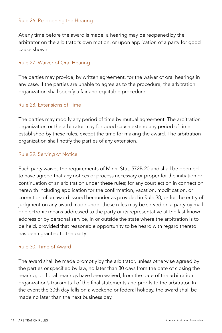#### <span id="page-13-0"></span>Rule 26. Re-opening the Hearing

At any time before the award is made, a hearing may be reopened by the arbitrator on the arbitrator's own motion, or upon application of a party for good cause shown.

# Rule 27. Waiver of Oral Hearing

The parties may provide, by written agreement, for the waiver of oral hearings in any case. If the parties are unable to agree as to the procedure, the arbitration organization shall specify a fair and equitable procedure.

#### Rule 28. Extensions of Time

The parties may modify any period of time by mutual agreement. The arbitration organization or the arbitrator may for good cause extend any period of time established by these rules, except the time for making the award. The arbitration organization shall notify the parties of any extension.

## Rule 29. Serving of Notice

Each party waives the requirements of Minn. Stat. 572B.20 and shall be deemed to have agreed that any notices or process necessary or proper for the initiation or continuation of an arbitration under these rules; for any court action in connection herewith including application for the confirmation, vacation, modification, or correction of an award issued hereunder as provided in Rule 38; or for the entry of judgment on any award made under these rules may be served on a party by mail or electronic means addressed to the party or its representative at the last known address or by personal service, in or outside the state where the arbitration is to be held, provided that reasonable opportunity to be heard with regard thereto has been granted to the party.

#### Rule 30. Time of Award

The award shall be made promptly by the arbitrator, unless otherwise agreed by the parties or specified by law, no later than 30 days from the date of closing the hearing, or if oral hearings have been waived, from the date of the arbitration organization's transmittal of the final statements and proofs to the arbitrator. In the event the 30th day falls on a weekend or federal holiday, the award shall be made no later than the next business day.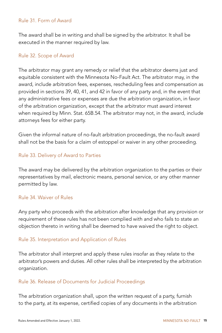#### <span id="page-14-0"></span>Rule 31. Form of Award

The award shall be in writing and shall be signed by the arbitrator. It shall be executed in the manner required by law.

#### Rule 32. Scope of Award

The arbitrator may grant any remedy or relief that the arbitrator deems just and equitable consistent with the Minnesota No-Fault Act. The arbitrator may, in the award, include arbitration fees, expenses, rescheduling fees and compensation as provided in sections 39, 40, 41, and 42 in favor of any party and, in the event that any administrative fees or expenses are due the arbitration organization, in favor of the arbitration organization, except that the arbitrator must award interest when required by Minn. Stat. 65B.54. The arbitrator may not, in the award, include attorneys fees for either party.

Given the informal nature of no-fault arbitration proceedings, the no-fault award shall not be the basis for a claim of estoppel or waiver in any other proceeding.

## Rule 33. Delivery of Award to Parties

The award may be delivered by the arbitration organization to the parties or their representatives by mail, electronic means, personal service, or any other manner permitted by law.

# Rule 34. Waiver of Rules

Any party who proceeds with the arbitration after knowledge that any provision or requirement of these rules has not been complied with and who fails to state an objection thereto in writing shall be deemed to have waived the right to object.

#### Rule 35. Interpretation and Application of Rules

The arbitrator shall interpret and apply these rules insofar as they relate to the arbitrator's powers and duties. All other rules shall be interpreted by the arbitration organization.

#### Rule 36. Release of Documents for Judicial Proceedings

The arbitration organization shall, upon the written request of a party, furnish to the party, at its expense, certified copies of any documents in the arbitration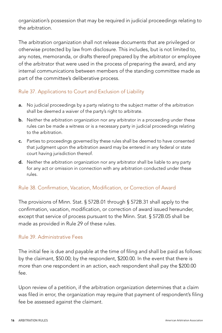<span id="page-15-0"></span>organization's possession that may be required in judicial proceedings relating to the arbitration.

The arbitration organization shall not release documents that are privileged or otherwise protected by law from disclosure. This includes, but is not limited to, any notes, memoranda, or drafts thereof prepared by the arbitrator or employee of the arbitrator that were used in the process of preparing the award, and any internal communications between members of the standing committee made as part of the committee's deliberative process.

# Rule 37. Applications to Court and Exclusion of Liability

- **a.** No judicial proceedings by a party relating to the subject matter of the arbitration shall be deemed a waiver of the party's right to arbitrate.
- **b.** Neither the arbitration organization nor any arbitrator in a proceeding under these rules can be made a witness or is a necessary party in judicial proceedings relating to the arbitration.
- c. Parties to proceedings governed by these rules shall be deemed to have consented that judgment upon the arbitration award may be entered in any federal or state court having jurisdiction thereof.
- d. Neither the arbitration organization nor any arbitrator shall be liable to any party for any act or omission in connection with any arbitration conducted under these rules.

# Rule 38. Confirmation, Vacation, Modification, or Correction of Award

The provisions of Minn. Stat. § 572B.01 through § 572B.31 shall apply to the confirmation, vacation, modification, or correction of award issued hereunder, except that service of process pursuant to the Minn. Stat. § 572B.05 shall be made as provided in Rule 29 of these rules.

#### Rule 39. Administrative Fees

The initial fee is due and payable at the time of filing and shall be paid as follows: by the claimant, \$50.00; by the respondent, \$200.00. In the event that there is more than one respondent in an action, each respondent shall pay the \$200.00 fee.

Upon review of a petition, if the arbitration organization determines that a claim was filed in error, the organization may require that payment of respondent's filing fee be assessed against the claimant.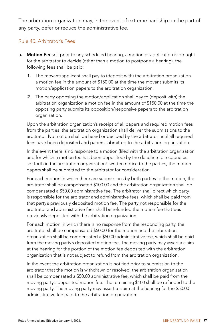<span id="page-16-0"></span>The arbitration organization may, in the event of extreme hardship on the part of any party, defer or reduce the administrative fee.

# Rule 40. Arbitrator's Fees

- a. Motion Fees: If prior to any scheduled hearing, a motion or application is brought for the arbitrator to decide (other than a motion to postpone a hearing), the following fees shall be paid:
	- 1. The movant/applicant shall pay to (deposit with) the arbitration organization a motion fee in the amount of \$150.00 at the time the movant submits its motion/application papers to the arbitration organization.
	- 2. The party opposing the motion/application shall pay to (deposit with) the arbitration organization a motion fee in the amount of \$150.00 at the time the opposing party submits its opposition/responsive papers to the arbitration organization.

Upon the arbitration organization's receipt of all papers and required motion fees from the parties, the arbitration organization shall deliver the submissions to the arbitrator. No motion shall be heard or decided by the arbitrator until all required fees have been deposited and papers submitted to the arbitration organization.

In the event there is no response to a motion (filed with the arbitration organization and for which a motion fee has been deposited) by the deadline to respond as set forth in the arbitration organization's written notice to the parties, the motion papers shall be submitted to the arbitrator for consideration.

For each motion in which there are submissions by both parties to the motion, the arbitrator shall be compensated \$100.00 and the arbitration organization shall be compensated a \$50.00 administrative fee. The arbitrator shall direct which party is responsible for the arbitrator and administrative fees, which shall be paid from that party's previously deposited motion fee. The party not responsible for the arbitrator and administrative fees shall be refunded the motion fee that was previously deposited with the arbitration organization.

For each motion in which there is no response from the responding party, the arbitrator shall be compensated \$50.00 for the motion and the arbitration organization shall be compensated a \$50.00 administrative fee, which shall be paid from the moving party's deposited motion fee. The moving party may assert a claim at the hearing for the portion of the motion fee deposited with the arbitration organization that is not subject to refund from the arbitration organization.

In the event the arbitration organization is notified prior to submission to the arbitrator that the motion is withdrawn or resolved, the arbitration organization shall be compensated a \$50.00 administrative fee, which shall be paid from the moving party's deposited motion fee. The remaining \$100 shall be refunded to the moving party. The moving party may assert a claim at the hearing for the \$50.00 administrative fee paid to the arbitration organization.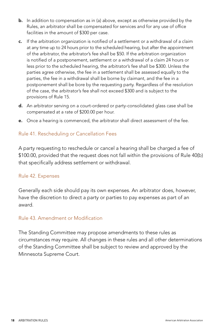- <span id="page-17-0"></span>**b.** In addition to compensation as in (a) above, except as otherwise provided by the Rules, an arbitrator shall be compensated for services and for any use of office facilities in the amount of \$300 per case.
- c. If the arbitration organization is notified of a settlement or a withdrawal of a claim at any time up to 24 hours prior to the scheduled hearing, but after the appointment of the arbitrator, the arbitrator's fee shall be \$50. If the arbitration organization is notified of a postponement, settlement or a withdrawal of a claim 24 hours or less prior to the scheduled hearing, the arbitrator's fee shall be \$300. Unless the parties agree otherwise, the fee in a settlement shall be assessed equally to the parties, the fee in a withdrawal shall be borne by claimant, and the fee in a postponement shall be bore by the requesting party. Regardless of the resolution of the case, the arbitrator's fee shall not exceed \$300 and is subject to the provisions of Rule 15.
- d. An arbitrator serving on a court-ordered or party-consolidated glass case shall be compensated at a rate of \$200.00 per hour.
- e. Once a hearing is commenced, the arbitrator shall direct assessment of the fee.

## Rule 41. Rescheduling or Cancellation Fees

A party requesting to reschedule or cancel a hearing shall be charged a fee of \$100.00, provided that the request does not fall within the provisions of Rule 40(b) that specifically address settlement or withdrawal.

#### Rule 42. Expenses

Generally each side should pay its own expenses. An arbitrator does, however, have the discretion to direct a party or parties to pay expenses as part of an award.

## Rule 43. Amendment or Modification

The Standing Committee may propose amendments to these rules as circumstances may require. All changes in these rules and all other determinations of the Standing Committee shall be subject to review and approved by the Minnesota Supreme Court.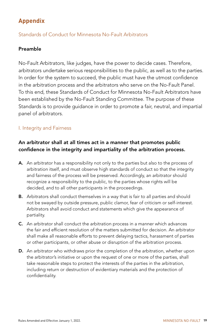# <span id="page-18-0"></span>**Appendix**

# Standards of Conduct for Minnesota No-Fault Arbitrators

# Preamble

No-Fault Arbitrators, like judges, have the power to decide cases. Therefore, arbitrators undertake serious responsibilities to the public, as well as to the parties. In order for the system to succeed, the public must have the utmost confidence in the arbitration process and the arbitrators who serve on the No-Fault Panel. To this end, these Standards of Conduct for Minnesota No-Fault Arbitrators have been established by the No-Fault Standing Committee. The purpose of these Standards is to provide guidance in order to promote a fair, neutral, and impartial panel of arbitrators.

# I. Integrity and Fairness

# An arbitrator shall at all times act in a manner that promotes public confidence in the integrity and impartiality of the arbitration process.

- A. An arbitrator has a responsibility not only to the parties but also to the process of arbitration itself, and must observe high standards of conduct so that the integrity and fairness of the process will be preserved. Accordingly, an arbitrator should recognize a responsibility to the public, to the parties whose rights will be decided, and to all other participants in the proceedings.
- **B.** Arbitrators shall conduct themselves in a way that is fair to all parties and should not be swayed by outside pressure, public clamor, fear of criticism or self-interest. Arbitrators shall avoid conduct and statements which give the appearance of partiality.
- C. An arbitrator shall conduct the arbitration process in a manner which advances the fair and efficient resolution of the matters submitted for decision. An arbitrator shall make all reasonable efforts to prevent delaying tactics, harassment of parties or other participants, or other abuse or disruption of the arbitration process.
- D. An arbitrator who withdraws prior the completion of the arbitration, whether upon the arbitrator's initiative or upon the request of one or more of the parties, shall take reasonable steps to protect the interests of the parties in the arbitration, including return or destruction of evidentiary materials and the protection of confidentiality.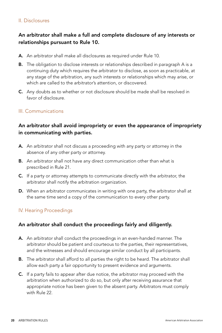#### II. Disclosures

# An arbitrator shall make a full and complete disclosure of any interests or relationships pursuant to Rule 10.

- A. An arbitrator shall make all disclosures as required under Rule 10.
- **B.** The obligation to disclose interests or relationships described in paragraph A is a continuing duty which requires the arbitrator to disclose, as soon as practicable, at any stage of the arbitration, any such interests or relationships which may arise, or which are called to the arbitrator's attention, or discovered.
- C. Any doubts as to whether or not disclosure should be made shall be resolved in favor of disclosure.

#### III. Communications

# An arbitrator shall avoid impropriety or even the appearance of impropriety in communicating with parties.

- A. An arbitrator shall not discuss a proceeding with any party or attorney in the absence of any other party or attorney.
- B. An arbitrator shall not have any direct communication other than what is prescribed in Rule 21.
- C. If a party or attorney attempts to communicate directly with the arbitrator, the arbitrator shall notify the arbitration organization.
- D. When an arbitrator communicates in writing with one party, the arbitrator shall at the same time send a copy of the communication to every other party.

#### IV. Hearing Proceedings

#### An arbitrator shall conduct the proceedings fairly and diligently.

- A. An arbitrator shall conduct the proceedings in an even-handed manner. The arbitrator should be patient and courteous to the parties, their representatives, and the witnesses and should encourage similar conduct by all participants.
- **B.** The arbitrator shall afford to all parties the right to be heard. The arbitrator shall allow each party a fair opportunity to present evidence and arguments.
- C. If a party fails to appear after due notice, the arbitrator may proceed with the arbitration when authorized to do so, but only after receiving assurance that appropriate notice has been given to the absent party. Arbitrators must comply with Rule 22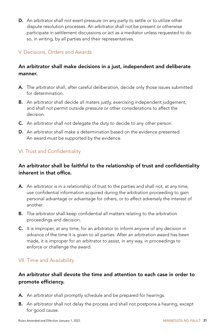D. An arbitrator shall not exert pressure on any party to settle or to utilize other dispute resolution processes. An arbitrator shall not be present or otherwise participate in settlement discussions or act as a mediator unless requested to do so, in writing, by all parties and their representatives.

# V. Decisions, Orders and Awards

# An arbitrator shall make decisions in a just, independent and deliberate manner.

- A. The arbitrator shall, after careful deliberation, decide only those issues submitted for determination.
- **B.** An arbitrator shall decide all maters justly, exercising independent judgement, and shall not permit outside pressure or other considerations to affect the decision.
- C. An arbitrator shall not delegate the duty to decide to any other person.
- D. An arbitrator shall make a determination based on the evidence presented. An award must be supported by the evidence.

# VI. Trust and Confidentiality

# An arbitrator shall be faithful to the relationship of trust and confidentiality inherent in that office.

- A. An arbitrator is in a relationship of trust to the parties and shall not, at any time, use confidential information acquired during the arbitration proceeding to gain personal advantage or advantage for others, or to affect adversely the interest of another.
- **B.** The arbitrator shall keep confidential all matters relating to the arbitration proceedings and decision.
- C. It is improper, at any time, for an arbitrator to inform anyone of any decision in advance of the time it is given to all parties. After an arbitration award has been made, it is improper for an arbitrator to assist, in any way, in proceedings to enforce or challenge the award.

#### VII. Time and Availability

# An arbitrator shall devote the time and attention to each case in order to promote efficiency.

- A. An arbitrator shall promptly schedule and be prepared for hearings.
- **B.** An arbitrator shall not delay the process and shall not postpone a hearing, except for good cause.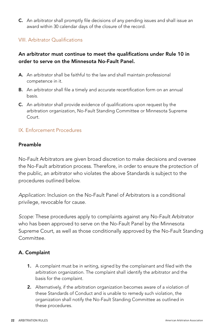C. An arbitrator shall promptly file decisions of any pending issues and shall issue an award within 30 calendar days of the closure of the record.

# VIII. Arbitrator Qualifications

# An arbitrator must continue to meet the qualifications under Rule 10 in order to serve on the Minnesota No-Fault Panel.

- A. An arbitrator shall be faithful to the law and shall maintain professional competence in it.
- **B.** An arbitrator shall file a timely and accurate recertification form on an annual basis.
- C. An arbitrator shall provide evidence of qualifications upon request by the arbitration organization, No-Fault Standing Committee or Minnesota Supreme Court.

#### IX. Enforcement Procedures

#### Preamble

No-Fault Arbitrators are given broad discretion to make decisions and oversee the No-Fault arbitration process. Therefore, in order to ensure the protection of the public, an arbitrator who violates the above Standards is subject to the procedures outlined below.

*Application:* Inclusion on the No-Fault Panel of Arbitrators is a conditional privilege, revocable for cause.

*Scope:* These procedures apply to complaints against any No-Fault Arbitrator who has been approved to serve on the No-Fault Panel by the Minnesota Supreme Court, as well as those conditionally approved by the No-Fault Standing Committee.

#### A. Complaint

- 1. A complaint must be in writing, signed by the complainant and filed with the arbitration organization. The complaint shall identify the arbitrator and the basis for the complaint.
- 2. Alternatively, if the arbitration organization becomes aware of a violation of these Standards of Conduct and is unable to remedy such violation, the organization shall notify the No-Fault Standing Committee as outlined in these procedures.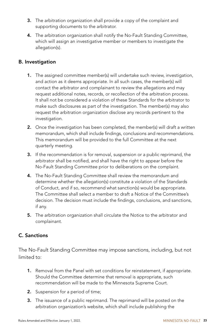- 3. The arbitration organization shall provide a copy of the complaint and supporting documents to the arbitrator.
- 4. The arbitration organization shall notify the No-Fault Standing Committee, which will assign an investigative member or members to investigate the allegation(s).

# B. Investigation

- 1. The assigned committee member(s) will undertake such review, investigation, and action as it deems appropriate. In all such cases, the member(s) will contact the arbitrator and complainant to review the allegations and may request additional notes, records, or recollection of the arbitration process. It shall not be considered a violation of these Standards for the arbitrator to make such disclosures as part of the investigation. The member(s) may also request the arbitration organization disclose any records pertinent to the investigation.
- 2. Once the investigation has been completed, the member(s) will draft a written memorandum, which shall include findings, conclusions and recommendations. This memorandum will be provided to the full Committee at the next quarterly meeting.
- 3. If the recommendation is for removal, suspension or a public reprimand, the arbitrator shall be notified, and shall have the right to appear before the No-Fault Standing Committee prior to deliberations on the complaint.
- 4. The No-Fault Standing Committee shall review the memorandum and determine whether the allegation(s) constitute a violation of the Standards of Conduct, and if so, recommend what sanction(s) would be appropriate. The Committee shall select a member to draft a Notice of the Committee's decision. The decision must include the findings, conclusions, and sanctions, if any.
- 5. The arbitration organization shall circulate the Notice to the arbitrator and complainant.

# C. Sanctions

The No-Fault Standing Committee may impose sanctions, including, but not limited to:

- 1. Removal from the Panel with set conditions for reinstatement, if appropriate. Should the Committee determine that removal is appropriate, such recommendation will be made to the Minnesota Supreme Court.
- 2. Suspension for a period of time;
- 3. The issuance of a public reprimand. The reprimand will be posted on the arbitration organization's website, which shall include publishing the